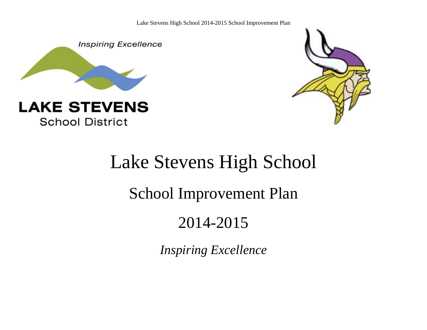Lake Stevens High School 2014-2015 School Improvement Plan



**School District** 



# Lake Stevens High School School Improvement Plan 2014-2015

*Inspiring Excellence*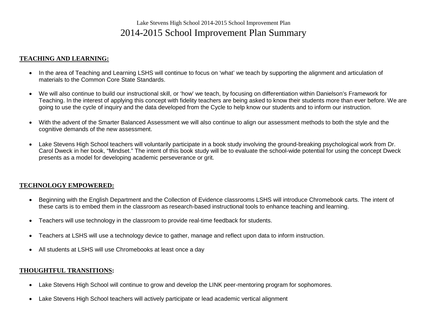# Lake Stevens High School 2014-2015 School Improvement Plan 2014-2015 School Improvement Plan Summary

#### **TEACHING AND LEARNING:**

- In the area of Teaching and Learning LSHS will continue to focus on 'what' we teach by supporting the alignment and articulation of materials to the Common Core State Standards.
- We will also continue to build our instructional skill, or 'how' we teach, by focusing on differentiation within Danielson's Framework for Teaching. In the interest of applying this concept with fidelity teachers are being asked to know their students more than ever before. We are going to use the cycle of inquiry and the data developed from the Cycle to help know our students and to inform our instruction.
- With the advent of the Smarter Balanced Assessment we will also continue to align our assessment methods to both the style and the cognitive demands of the new assessment.
- Lake Stevens High School teachers will voluntarily participate in a book study involving the ground-breaking psychological work from Dr. Carol Dweck in her book, "Mindset." The intent of this book study will be to evaluate the school-wide potential for using the concept Dweck presents as a model for developing academic perseverance or grit.

#### **TECHNOLOGY EMPOWERED:**

- Beginning with the English Department and the Collection of Evidence classrooms LSHS will introduce Chromebook carts. The intent of these carts is to embed them in the classroom as research-based instructional tools to enhance teaching and learning.
- Teachers will use technology in the classroom to provide real-time feedback for students.
- Teachers at LSHS will use a technology device to gather, manage and reflect upon data to inform instruction.
- All students at LSHS will use Chromebooks at least once a day

#### **THOUGHTFUL TRANSITIONS:**

- Lake Stevens High School will continue to grow and develop the LINK peer-mentoring program for sophomores.
- Lake Stevens High School teachers will actively participate or lead academic vertical alignment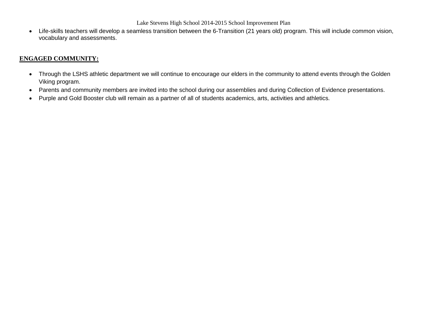Lake Stevens High School 2014-2015 School Improvement Plan

• Life-skills teachers will develop a seamless transition between the 6-Transition (21 years old) program. This will include common vision, vocabulary and assessments.

#### **ENGAGED COMMUNITY:**

- Through the LSHS athletic department we will continue to encourage our elders in the community to attend events through the Golden Viking program.
- Parents and community members are invited into the school during our assemblies and during Collection of Evidence presentations.
- Purple and Gold Booster club will remain as a partner of all of students academics, arts, activities and athletics.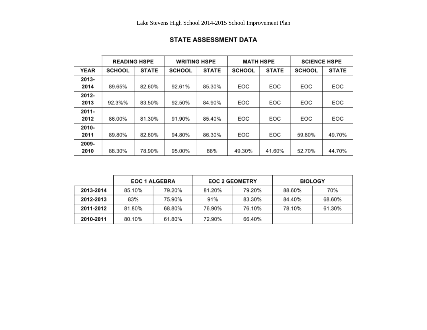|             | <b>READING HSPE</b> |              | <b>WRITING HSPE</b> |              | <b>MATH HSPE</b> |              | <b>SCIENCE HSPE</b> |              |
|-------------|---------------------|--------------|---------------------|--------------|------------------|--------------|---------------------|--------------|
| <b>YEAR</b> | <b>SCHOOL</b>       | <b>STATE</b> | <b>SCHOOL</b>       | <b>STATE</b> | <b>SCHOOL</b>    | <b>STATE</b> | <b>SCHOOL</b>       | <b>STATE</b> |
| 2013-       |                     |              |                     |              |                  |              |                     |              |
| 2014        | 89.65%              | 82.60%       | 92.61%              | 85.30%       | EOC              | EOC          | EOC                 | EOC          |
| 2012-       |                     |              |                     |              |                  |              |                     |              |
| 2013        | 92.3%%              | 83.50%       | 92.50%              | 84.90%       | EOC              | EOC          | EOC                 | EOC          |
| 2011-       |                     |              |                     |              |                  |              |                     |              |
| 2012        | 86.00%              | 81.30%       | 91.90%              | 85.40%       | EOC              | EOC          | EOC                 | EOC          |
| 2010-       |                     |              |                     |              |                  |              |                     |              |
| 2011        | 89.80%              | 82.60%       | 94.80%              | 86.30%       | EOC              | EOC          | 59.80%              | 49.70%       |
| 2009-       |                     |              |                     |              |                  |              |                     |              |
| 2010        | 88.30%              | 78.90%       | 95.00%              | 88%          | 49.30%           | 41.60%       | 52.70%              | 44.70%       |

## STATE ASSESSMENT DATA

|           | <b>EOC 1 ALGEBRA</b> |        |        | <b>EOC 2 GEOMETRY</b> | <b>BIOLOGY</b> |        |
|-----------|----------------------|--------|--------|-----------------------|----------------|--------|
| 2013-2014 | 85.10%               | 79.20% | 81.20% | 79.20%                | 88.60%         | 70%    |
| 2012-2013 | 83%                  | 75.90% | 91%    | 83.30%                | 84.40%         | 68.60% |
| 2011-2012 | 81.80%               | 68.80% | 76.90% | 76.10%                | 78.10%         | 61.30% |
| 2010-2011 | 80.10%               | 61.80% | 72.90% | 66.40%                |                |        |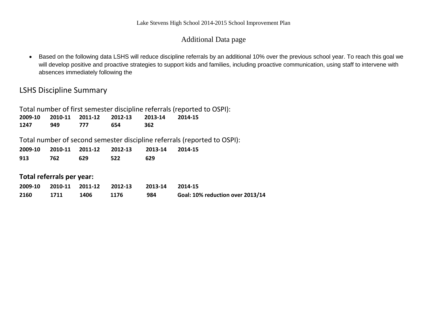## Additional Data page

• Based on the following data LSHS will reduce discipline referrals by an additional 10% over the previous school year. To reach this goal we will develop positive and proactive strategies to support kids and families, including proactive communication, using staff to intervene with absences immediately following the

## LSHS Discipline Summary

| Total number of first semester discipline referrals (reported to OSPI):  |         |         |         |         |         |  |
|--------------------------------------------------------------------------|---------|---------|---------|---------|---------|--|
| 2009-10                                                                  | 2010-11 | 2011-12 | 2012-13 | 2013-14 | 2014-15 |  |
| 1247                                                                     | 949     | 777     | 654     | 362     |         |  |
| Total number of second semester discipline referrals (reported to OSPI): |         |         |         |         |         |  |
| 2009-10                                                                  | 2010-11 | 2011-12 | 2012-13 | 2013-14 | 2014-15 |  |
| 913                                                                      | 762     | 629     | 522     | 629     |         |  |
|                                                                          |         |         |         |         |         |  |
| Total referrals per year:                                                |         |         |         |         |         |  |

|      |      | 2009-10 2010-11 2011-12 2012-13 |      | 2013-14 2014-15 |                                  |
|------|------|---------------------------------|------|-----------------|----------------------------------|
| 2160 | 1711 | 1406                            | 1176 | 984             | Goal: 10% reduction over 2013/14 |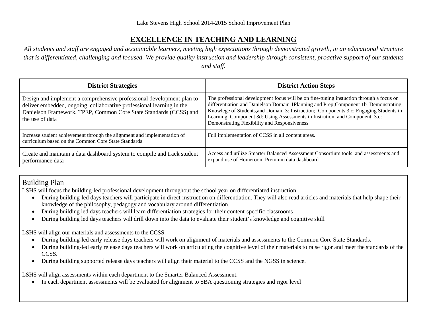## **EXCELLENCE IN TEACHING AND LEARNING**

*All students and staff are engaged and accountable learners, meeting high expectations through demonstrated growth, in an educational structure that is differentiated, challenging and focused. We provide quality instruction and leadership through consistent, proactive support of our students and staff.*

| <b>District Strategies</b>                                                                                                                                                                                                             | <b>District Action Steps</b>                                                                                                                                                                                                                                                                                                                                                                          |
|----------------------------------------------------------------------------------------------------------------------------------------------------------------------------------------------------------------------------------------|-------------------------------------------------------------------------------------------------------------------------------------------------------------------------------------------------------------------------------------------------------------------------------------------------------------------------------------------------------------------------------------------------------|
| Design and implement a comprehensive professional development plan to<br>deliver embedded, ongoing, collaborative professional learning in the<br>Danielson Framework, TPEP, Common Core State Standards (CCSS) and<br>the use of data | The professional development focus will be on fine-tuning instuction through a focus on<br>differentiation and Danielson Domain 1Planning and Prep;Component 1b Demonstrating<br>Knowlege of Students, and Domain 3: Instruction; Components 3.c: Engaging Students in<br>Learning, Component 3d: Using Assessments in Instrution, and Component 3.e:<br>Demonstrating Flexibility and Responsiveness |
| Increase student achievement through the alignment and implementation of<br>curriculum based on the Common Core State Standards                                                                                                        | Full implementation of CCSS in all content areas.                                                                                                                                                                                                                                                                                                                                                     |
| Create and maintain a data dashboard system to compile and track student<br>performance data                                                                                                                                           | Access and utilize Smarter Balanced Assessment Consortium tools and assessments and<br>expand use of Homeroom Premium data dashboard                                                                                                                                                                                                                                                                  |

## Building Plan

LSHS will focus the building-led professional development throughout the school year on differentiated instruction.

- During building-led days teachers will participate in direct-instruction on differentiation. They will also read articles and materials that help shape their knowledge of the philosophy, pedagogy and vocabulary around differentiation.
- During building led days teachers will learn differentiation strategies for their content-specific classrooms
- During building led days teachers will drill down into the data to evaluate their student's knowledge and cognitive skill

LSHS will align our materials and assessments to the CCSS.

- During building-led early release days teachers will work on alignment of materials and assessments to the Common Core State Standards.
- During building-led early release days teachers will work on articulating the cognitive level of their materials to raise rigor and meet the standards of the CCSS.
- During building supported release days teachers will align their material to the CCSS and the NGSS in science.

LSHS will align assessments within each department to the Smarter Balanced Assessment.

• In each department assessments will be evaluated for alignment to SBA questioning strategies and rigor level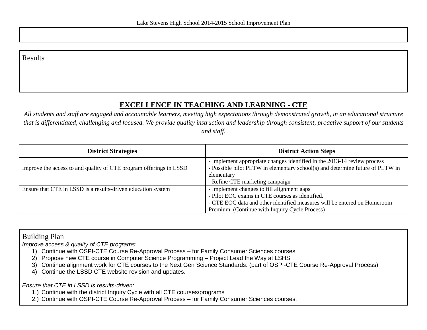## **EXCELLENCE IN TEACHING AND LEARNING - CTE**

*All students and staff are engaged and accountable learners, meeting high expectations through demonstrated growth, in an educational structure that is differentiated, challenging and focused. We provide quality instruction and leadership through consistent, proactive support of our students and staff.*

| <b>District Strategies</b>                                         | <b>District Action Steps</b>                                                                                                                                                                                               |
|--------------------------------------------------------------------|----------------------------------------------------------------------------------------------------------------------------------------------------------------------------------------------------------------------------|
| Improve the access to and quality of CTE program offerings in LSSD | - Implement appropriate changes identified in the 2013-14 review process<br>- Possible pilot PLTW in elementary school(s) and determine future of PLTW in<br>elementary<br>- Refine CTE marketing campaign                 |
| Ensure that CTE in LSSD is a results-driven education system       | - Implement changes to fill alignment gaps<br>- Pilot EOC exams in CTE courses as identified.<br>- CTE EOC data and other identified measures will be entered on Homeroom<br>Premium (Continue with Inquiry Cycle Process) |

## Building Plan

*Improve access & quality of CTE programs:*

- 1) Continue with OSPI-CTE Course Re-Approval Process for Family Consumer Sciences courses
- 2) Propose new CTE course in Computer Science Programming Project Lead the Way at LSHS
- 3) Continue alignment work for CTE courses to the Next Gen Science Standards. (part of OSPI-CTE Course Re-Approval Process)
- 4) Continue the LSSD CTE website revision and updates.

*Ensure that CTE in LSSD is results-driven:*

- 1.) Continue with the district Inquiry Cycle with all CTE courses/programs
- 2.) Continue with OSPI-CTE Course Re-Approval Process for Family Consumer Sciences courses.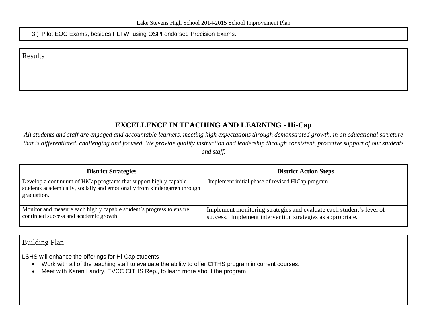3.) Pilot EOC Exams, besides PLTW, using OSPI endorsed Precision Exams.

Results

## **EXCELLENCE IN TEACHING AND LEARNING - Hi-Cap**

*All students and staff are engaged and accountable learners, meeting high expectations through demonstrated growth, in an educational structure that is differentiated, challenging and focused. We provide quality instruction and leadership through consistent, proactive support of our students and staff.*

| <b>District Strategies</b>                                                                                                                                    | <b>District Action Steps</b>                                                                                                       |
|---------------------------------------------------------------------------------------------------------------------------------------------------------------|------------------------------------------------------------------------------------------------------------------------------------|
| Develop a continuum of HiCap programs that support highly capable<br>students academically, socially and emotionally from kindergarten through<br>graduation. | Implement initial phase of revised HiCap program                                                                                   |
| Monitor and measure each highly capable student's progress to ensure<br>continued success and academic growth                                                 | Implement monitoring strategies and evaluate each student's level of<br>success. Implement intervention strategies as appropriate. |

#### Building Plan

LSHS will enhance the offerings for Hi-Cap students

- Work with all of the teaching staff to evaluate the ability to offer CITHS program in current courses.
- Meet with Karen Landry, EVCC CITHS Rep., to learn more about the program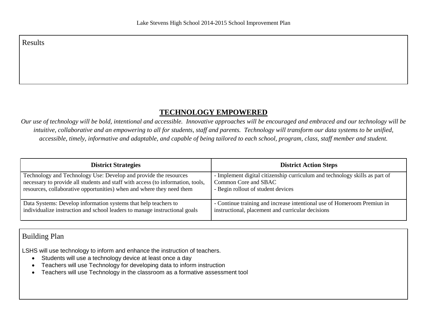#### **TECHNOLOGY EMPOWERED**

*Our use of technology will be bold, intentional and accessible. Innovative approaches will be encouraged and embraced and our technology will be intuitive, collaborative and an empowering to all for students, staff and parents. Technology will transform our data systems to be unified, accessible, timely, informative and adaptable, and capable of being tailored to each school, program, class, staff member and student.*

| <b>District Strategies</b>                                                      | <b>District Action Steps</b>                                                |
|---------------------------------------------------------------------------------|-----------------------------------------------------------------------------|
| Technology and Technology Use: Develop and provide the resources                | - Implement digital citizenship curriculum and technology skills as part of |
| necessary to provide all students and staff with access (to information, tools, | Common Core and SBAC                                                        |
| resources, collaborative opportunities) when and where they need them           | - Begin rollout of student devices                                          |
| Data Systems: Develop information systems that help teachers to                 | - Continue training and increase intentional use of Homeroom Premiun in     |
| individualize instruction and school leaders to manage instructional goals      | instructional, placement and curricular decisions                           |

#### Building Plan

LSHS will use technology to inform and enhance the instruction of teachers.

- Students will use a technology device at least once a day
- Teachers will use Technology for developing data to inform instruction
- Teachers will use Technology in the classroom as a formative assessment tool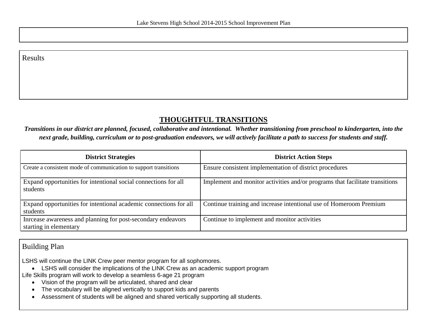#### **THOUGHTFUL TRANSITIONS**

*Transitions in our district are planned, focused, collaborative and intentional. Whether transitioning from preschool to kindergarten, into the next grade, building, curriculum or to post-graduation endeavors, we will actively facilitate a path to success for students and staff.*

| <b>District Strategies</b>                                                             | <b>District Action Steps</b>                                                 |
|----------------------------------------------------------------------------------------|------------------------------------------------------------------------------|
| Create a consistent mode of communication to support transitions                       | Ensure consistent implementation of district procedures                      |
| Expand opportunities for intentional social connections for all<br>students            | Implement and monitor activities and/or programs that facilitate transitions |
| Expand opportunities for intentional academic connections for all<br>students          | Continue training and increase intentional use of Homeroom Premium           |
| Inreease awareness and planning for post-secondary endeavors<br>starting in elementary | Continue to implement and monitor activities                                 |

#### Building Plan

LSHS will continue the LINK Crew peer mentor program for all sophomores.

• LSHS will consider the implications of the LINK Crew as an academic support program

Life Skills program will work to develop a seamless 6-age 21 program

- Vision of the program will be articulated, shared and clear
- The vocabulary will be aligned vertically to support kids and parents
- Assessment of students will be aligned and shared vertically supporting all students.